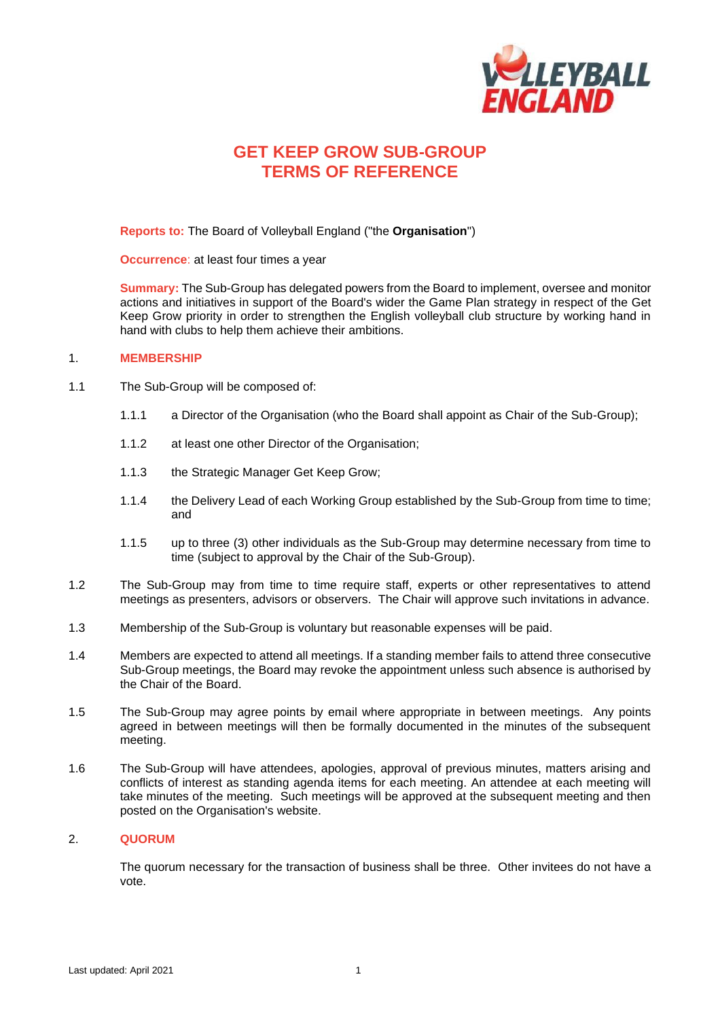

# **GET KEEP GROW SUB-GROUP TERMS OF REFERENCE**

**Reports to:** The Board of Volleyball England ("the **Organisation**")

**Occurrence**: at least four times a year

**Summary:** The Sub-Group has delegated powers from the Board to implement, oversee and monitor actions and initiatives in support of the Board's wider the Game Plan strategy in respect of the Get Keep Grow priority in order to strengthen the English volleyball club structure by working hand in hand with clubs to help them achieve their ambitions.

#### 1. **MEMBERSHIP**

- 1.1 The Sub-Group will be composed of:
	- 1.1.1 a Director of the Organisation (who the Board shall appoint as Chair of the Sub-Group);
	- 1.1.2 at least one other Director of the Organisation;
	- 1.1.3 the Strategic Manager Get Keep Grow;
	- 1.1.4 the Delivery Lead of each Working Group established by the Sub-Group from time to time; and
	- 1.1.5 up to three (3) other individuals as the Sub-Group may determine necessary from time to time (subject to approval by the Chair of the Sub-Group).
- 1.2 The Sub-Group may from time to time require staff, experts or other representatives to attend meetings as presenters, advisors or observers. The Chair will approve such invitations in advance.
- 1.3 Membership of the Sub-Group is voluntary but reasonable expenses will be paid.
- 1.4 Members are expected to attend all meetings. If a standing member fails to attend three consecutive Sub-Group meetings, the Board may revoke the appointment unless such absence is authorised by the Chair of the Board.
- 1.5 The Sub-Group may agree points by email where appropriate in between meetings. Any points agreed in between meetings will then be formally documented in the minutes of the subsequent meeting.
- 1.6 The Sub-Group will have attendees, apologies, approval of previous minutes, matters arising and conflicts of interest as standing agenda items for each meeting. An attendee at each meeting will take minutes of the meeting. Such meetings will be approved at the subsequent meeting and then posted on the Organisation's website.

### 2. **QUORUM**

The quorum necessary for the transaction of business shall be three. Other invitees do not have a vote.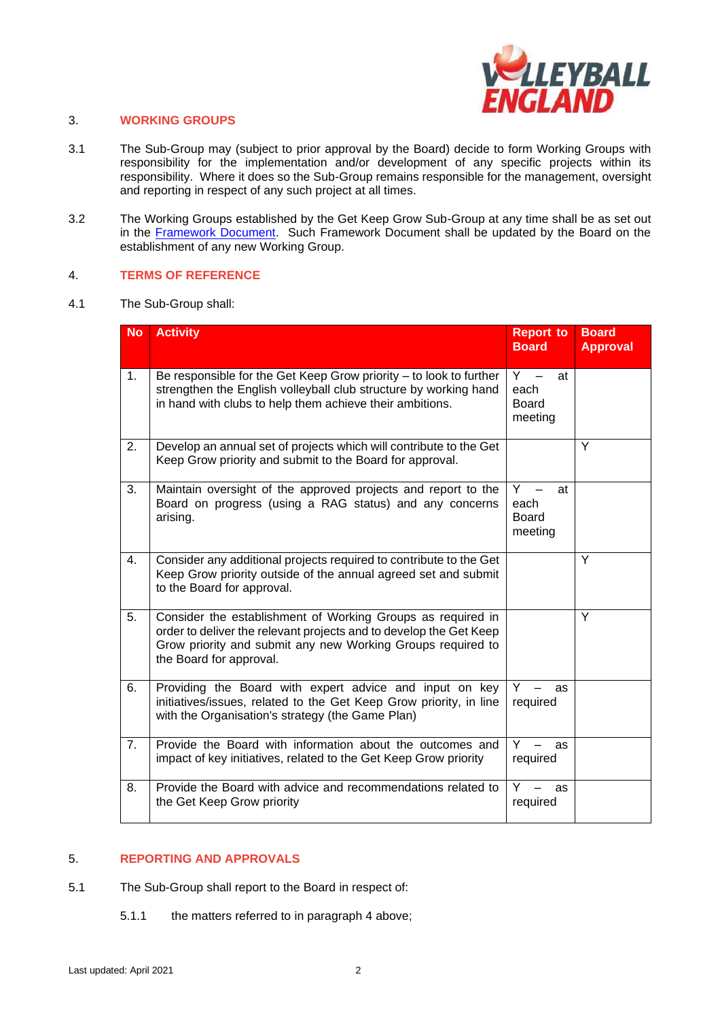

### 3. **WORKING GROUPS**

- 3.1 The Sub-Group may (subject to prior approval by the Board) decide to form Working Groups with responsibility for the implementation and/or development of any specific projects within its responsibility. Where it does so the Sub-Group remains responsible for the management, oversight and reporting in respect of any such project at all times.
- 3.2 The Working Groups established by the Get Keep Grow Sub-Group at any time shall be as set out in the [Framework Document.](https://www.volleyballengland.org/about_us/about_us_/governance) Such Framework Document shall be updated by the Board on the establishment of any new Working Group.

#### 4. **TERMS OF REFERENCE**

4.1 The Sub-Group shall:

| <b>No</b> | <b>Activity</b>                                                                                                                                                                                                             | <b>Report to</b><br><b>Board</b>               | <b>Board</b><br><b>Approval</b> |
|-----------|-----------------------------------------------------------------------------------------------------------------------------------------------------------------------------------------------------------------------------|------------------------------------------------|---------------------------------|
| 1.        | Be responsible for the Get Keep Grow priority - to look to further<br>strengthen the English volleyball club structure by working hand<br>in hand with clubs to help them achieve their ambitions.                          | $Y -$<br>at<br>each<br><b>Board</b><br>meeting |                                 |
| 2.        | Develop an annual set of projects which will contribute to the Get<br>Keep Grow priority and submit to the Board for approval.                                                                                              |                                                | Y                               |
| 3.        | Maintain oversight of the approved projects and report to the<br>Board on progress (using a RAG status) and any concerns<br>arising.                                                                                        | Y.<br>at<br>each<br><b>Board</b><br>meeting    |                                 |
| 4.        | Consider any additional projects required to contribute to the Get<br>Keep Grow priority outside of the annual agreed set and submit<br>to the Board for approval.                                                          |                                                | Y                               |
| 5.        | Consider the establishment of Working Groups as required in<br>order to deliver the relevant projects and to develop the Get Keep<br>Grow priority and submit any new Working Groups required to<br>the Board for approval. |                                                | Y                               |
| 6.        | Providing the Board with expert advice and input on key<br>initiatives/issues, related to the Get Keep Grow priority, in line<br>with the Organisation's strategy (the Game Plan)                                           | Y<br>as<br>required                            |                                 |
| 7.        | Provide the Board with information about the outcomes and<br>impact of key initiatives, related to the Get Keep Grow priority                                                                                               | Y.<br>as<br>required                           |                                 |
| 8.        | Provide the Board with advice and recommendations related to<br>the Get Keep Grow priority                                                                                                                                  | Y.<br>as<br>required                           |                                 |

## 5. **REPORTING AND APPROVALS**

- 5.1 The Sub-Group shall report to the Board in respect of:
	- 5.1.1 the matters referred to in paragraph 4 above;